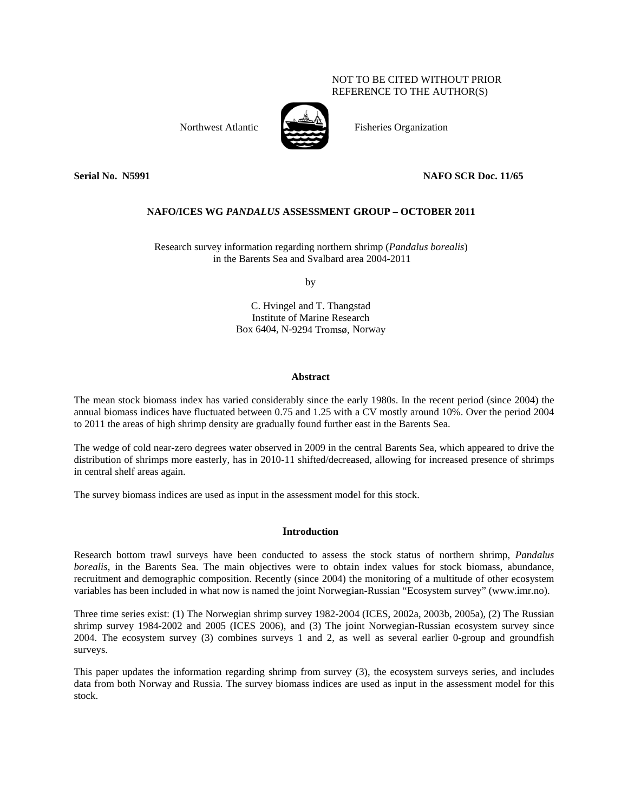# NOT TO BE CITED WITHOUT PRIOR REFERENCE TO THE AUTHOR(S)



**Fisheries Organization** 

Northwest Atlantic

Serial No. N5991

# NAFO SCR Doc. 11/65

# **NAFO/ICES WG PANDALUS ASSESSMENT GROUP – OCTOBER 2011**

Research survey information regarding northern shrimp (Pandalus borealis) in the Barents Sea and Svalbard area 2004-2011

by

C. Hvingel and T. Thangstad Institute of Marine Research Box 6404, N-9294 Tromsø, Norway

### **Abstract**

The mean stock biomass index has varied considerably since the early 1980s. In the recent period (since 2004) the annual biomass indices have fluctuated between 0.75 and 1.25 with a CV mostly around 10%. Over the period 2004 to 2011 the areas of high shrimp density are gradually found further east in the Barents Sea.

The wedge of cold near-zero degrees water observed in 2009 in the central Barents Sea, which appeared to drive the distribution of shrimps more easterly, has in 2010-11 shifted/decreased, allowing for increased presence of shrimps in central shelf areas again.

The survey biomass indices are used as input in the assessment model for this stock.

# **Introduction**

Research bottom trawl surveys have been conducted to assess the stock status of northern shrimp, *Pandalus* borealis, in the Barents Sea. The main objectives were to obtain index values for stock biomass, abundance, recruitment and demographic composition. Recently (since 2004) the monitoring of a multitude of other ecosystem variables has been included in what now is named the joint Norwegian-Russian "Ecosystem survey" (www.imr.no).

Three time series exist: (1) The Norwegian shrimp survey 1982-2004 (ICES, 2002a, 2003b, 2005a), (2) The Russian shrimp survey 1984-2002 and 2005 (ICES 2006), and (3) The joint Norwegian-Russian ecosystem survey since 2004. The ecosystem survey (3) combines surveys 1 and 2, as well as several earlier 0-group and groundfish surveys.

This paper updates the information regarding shrimp from survey (3), the ecosystem surveys series, and includes data from both Norway and Russia. The survey biomass indices are used as input in the assessment model for this stock.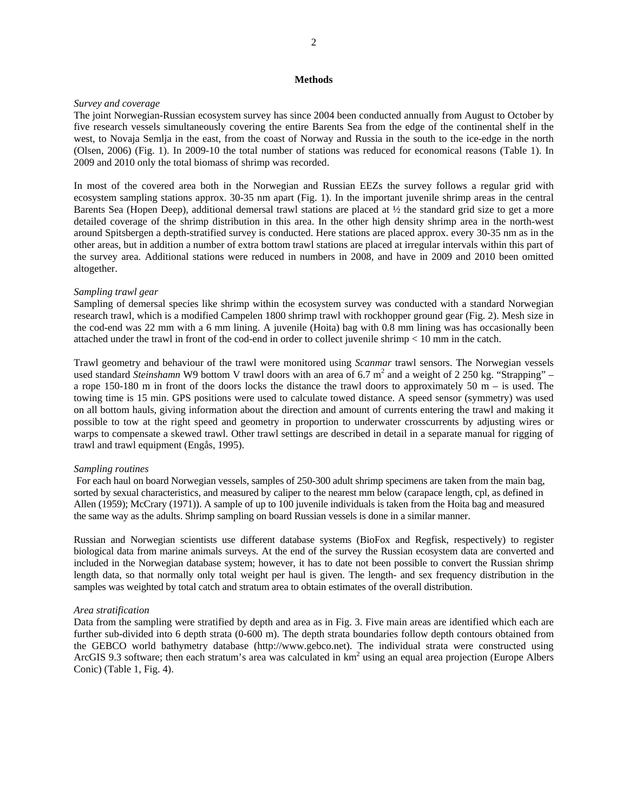### **Methods**

# *Survey and coverage*

The joint Norwegian-Russian ecosystem survey has since 2004 been conducted annually from August to October by five research vessels simultaneously covering the entire Barents Sea from the edge of the continental shelf in the west, to Novaja Semlja in the east, from the coast of Norway and Russia in the south to the ice-edge in the north (Olsen, 2006) (Fig. 1). In 2009-10 the total number of stations was reduced for economical reasons (Table 1). In 2009 and 2010 only the total biomass of shrimp was recorded.

In most of the covered area both in the Norwegian and Russian EEZs the survey follows a regular grid with ecosystem sampling stations approx. 30-35 nm apart (Fig. 1). In the important juvenile shrimp areas in the central Barents Sea (Hopen Deep), additional demersal trawl stations are placed at ½ the standard grid size to get a more detailed coverage of the shrimp distribution in this area. In the other high density shrimp area in the north-west around Spitsbergen a depth-stratified survey is conducted. Here stations are placed approx. every 30-35 nm as in the other areas, but in addition a number of extra bottom trawl stations are placed at irregular intervals within this part of the survey area. Additional stations were reduced in numbers in 2008, and have in 2009 and 2010 been omitted altogether.

#### *Sampling trawl gear*

Sampling of demersal species like shrimp within the ecosystem survey was conducted with a standard Norwegian research trawl, which is a modified Campelen 1800 shrimp trawl with rockhopper ground gear (Fig. 2). Mesh size in the cod-end was 22 mm with a 6 mm lining. A juvenile (Hoita) bag with 0.8 mm lining was has occasionally been attached under the trawl in front of the cod-end in order to collect juvenile shrimp < 10 mm in the catch.

Trawl geometry and behaviour of the trawl were monitored using *Scanmar* trawl sensors. The Norwegian vessels used standard *Steinshamn* W9 bottom V trawl doors with an area of 6.7 m<sup>2</sup> and a weight of 2 250 kg. "Strapping" – a rope 150-180 m in front of the doors locks the distance the trawl doors to approximately 50 m – is used. The towing time is 15 min. GPS positions were used to calculate towed distance. A speed sensor (symmetry) was used on all bottom hauls, giving information about the direction and amount of currents entering the trawl and making it possible to tow at the right speed and geometry in proportion to underwater crosscurrents by adjusting wires or warps to compensate a skewed trawl. Other trawl settings are described in detail in a separate manual for rigging of trawl and trawl equipment (Engås, 1995).

### *Sampling routines*

 For each haul on board Norwegian vessels, samples of 250-300 adult shrimp specimens are taken from the main bag, sorted by sexual characteristics, and measured by caliper to the nearest mm below (carapace length, cpl, as defined in Allen (1959); McCrary (1971)). A sample of up to 100 juvenile individuals is taken from the Hoita bag and measured the same way as the adults. Shrimp sampling on board Russian vessels is done in a similar manner.

Russian and Norwegian scientists use different database systems (BioFox and Regfisk, respectively) to register biological data from marine animals surveys. At the end of the survey the Russian ecosystem data are converted and included in the Norwegian database system; however, it has to date not been possible to convert the Russian shrimp length data, so that normally only total weight per haul is given. The length- and sex frequency distribution in the samples was weighted by total catch and stratum area to obtain estimates of the overall distribution.

### *Area stratification*

Data from the sampling were stratified by depth and area as in Fig. 3. Five main areas are identified which each are further sub-divided into 6 depth strata (0-600 m). The depth strata boundaries follow depth contours obtained from the GEBCO world bathymetry database (http://www.gebco.net). The individual strata were constructed using ArcGIS 9.3 software; then each stratum's area was calculated in  $km<sup>2</sup>$  using an equal area projection (Europe Albers Conic) (Table 1, Fig. 4).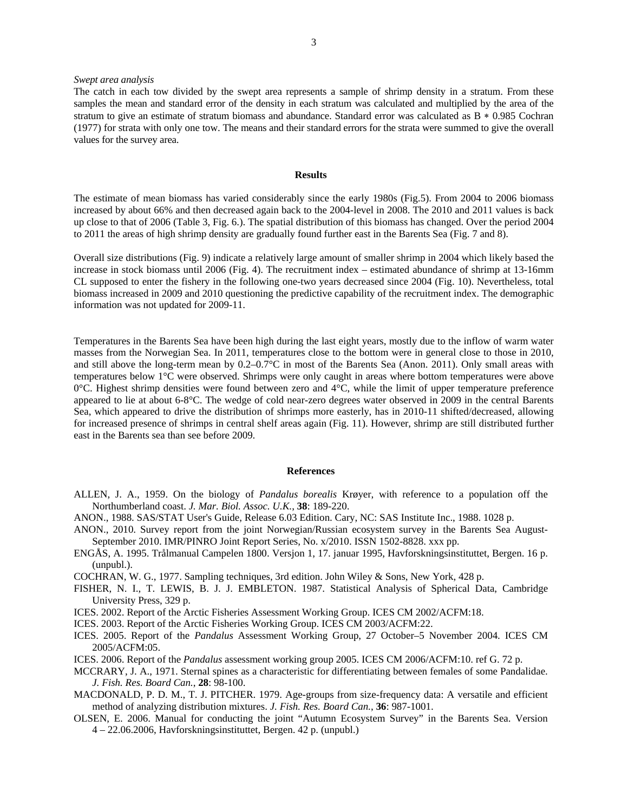### *Swept area analysis*

#### **Results**

The estimate of mean biomass has varied considerably since the early 1980s (Fig.5). From 2004 to 2006 biomass increased by about 66% and then decreased again back to the 2004-level in 2008. The 2010 and 2011 values is back up close to that of 2006 (Table 3, Fig. 6.). The spatial distribution of this biomass has changed. Over the period 2004 to 2011 the areas of high shrimp density are gradually found further east in the Barents Sea (Fig. 7 and 8).

Overall size distributions (Fig. 9) indicate a relatively large amount of smaller shrimp in 2004 which likely based the increase in stock biomass until 2006 (Fig. 4). The recruitment index – estimated abundance of shrimp at 13-16mm CL supposed to enter the fishery in the following one-two years decreased since 2004 (Fig. 10). Nevertheless, total biomass increased in 2009 and 2010 questioning the predictive capability of the recruitment index. The demographic information was not updated for 2009-11.

Temperatures in the Barents Sea have been high during the last eight years, mostly due to the inflow of warm water masses from the Norwegian Sea. In 2011, temperatures close to the bottom were in general close to those in 2010, and still above the long-term mean by 0.2–0.7°C in most of the Barents Sea (Anon. 2011). Only small areas with temperatures below 1°C were observed. Shrimps were only caught in areas where bottom temperatures were above 0°C. Highest shrimp densities were found between zero and 4°C, while the limit of upper temperature preference appeared to lie at about 6-8°C. The wedge of cold near-zero degrees water observed in 2009 in the central Barents Sea, which appeared to drive the distribution of shrimps more easterly, has in 2010-11 shifted/decreased, allowing for increased presence of shrimps in central shelf areas again (Fig. 11). However, shrimp are still distributed further east in the Barents sea than see before 2009.

### **References**

- ALLEN, J. A., 1959. On the biology of *Pandalus borealis* Krøyer, with reference to a population off the Northumberland coast. *J. Mar. Biol. Assoc. U.K.*, **38**: 189-220.
- ANON., 1988. SAS/STAT User's Guide, Release 6.03 Edition. Cary, NC: SAS Institute Inc., 1988. 1028 p.
- ANON., 2010. Survey report from the joint Norwegian/Russian ecosystem survey in the Barents Sea August-September 2010. IMR/PINRO Joint Report Series, No. x/2010. ISSN 1502-8828. xxx pp.
- ENGÅS, A. 1995. Trålmanual Campelen 1800. Versjon 1, 17. januar 1995, Havforskningsinstituttet, Bergen. 16 p. (unpubl.).
- COCHRAN, W. G., 1977. Sampling techniques, 3rd edition. John Wiley & Sons, New York, 428 p.
- FISHER, N. I., T. LEWIS, B. J. J. EMBLETON. 1987. Statistical Analysis of Spherical Data, Cambridge University Press, 329 p.
- ICES. 2002. Report of the Arctic Fisheries Assessment Working Group. ICES CM 2002/ACFM:18.
- ICES. 2003. Report of the Arctic Fisheries Working Group. ICES CM 2003/ACFM:22.
- ICES. 2005. Report of the *Pandalus* Assessment Working Group, 27 October–5 November 2004. ICES CM 2005/ACFM:05.
- ICES. 2006. Report of the *Pandalus* assessment working group 2005. ICES CM 2006/ACFM:10. ref G. 72 p.
- MCCRARY, J. A., 1971. Sternal spines as a characteristic for differentiating between females of some Pandalidae. *J. Fish. Res. Board Can.*, **28**: 98-100.
- MACDONALD, P. D. M., T. J. PITCHER. 1979. Age-groups from size-frequency data: A versatile and efficient method of analyzing distribution mixtures. *J. Fish. Res. Board Can.*, **36**: 987-1001.
- OLSEN, E. 2006. Manual for conducting the joint "Autumn Ecosystem Survey" in the Barents Sea. Version 4 – 22.06.2006, Havforskningsinstituttet, Bergen. 42 p. (unpubl.)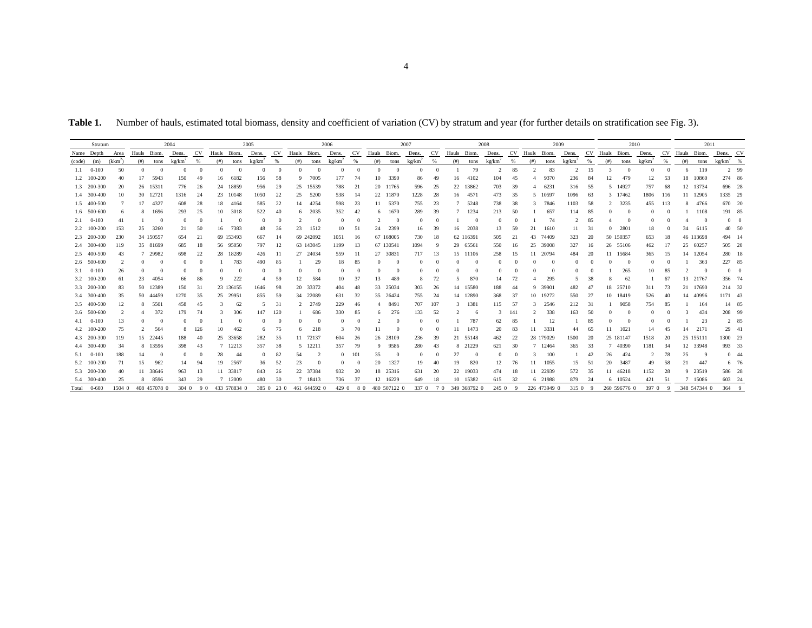Table 1. Number of hauls, estimated total biomass, density and coefficient of variation (CV) by stratum and year (for further details on stratification see Fig. 3).

| Stratum |                    |                | 2004           |              |                    | 2005       |      |              | 2006         |            |                | 2007           |                    |           | 2008        |                        |          | 2009      |      |              |                      | 2010 |                |              |                | 2011 |             |              |                    |     |             |              |                           |             |
|---------|--------------------|----------------|----------------|--------------|--------------------|------------|------|--------------|--------------|------------|----------------|----------------|--------------------|-----------|-------------|------------------------|----------|-----------|------|--------------|----------------------|------|----------------|--------------|----------------|------|-------------|--------------|--------------------|-----|-------------|--------------|---------------------------|-------------|
|         | Name Depth         | Area           | Hauls Biom.    |              | Dens.              | CV         |      | Hauls Biom.  | Dens.        | <b>CV</b>  | Hauls Biom.    |                | Dens.              | <b>CV</b> | Hauls Biom. |                        | Dens.    | <b>CV</b> |      | Hauls Biom.  | Dens.                |      | CV Hauls Biom. |              | Dens.          | CV   | Hauls Biom. |              | Dens.              | CV  | Hauls Biom. |              | Dens. CV                  |             |
| (code)  | (m)                | $(kkm^2)$      | (#)            | tons         | kg/km <sup>2</sup> | %          | (# ) | tons         | kg/km        | %          | (# )           | tons           | kg/km <sup>2</sup> | %         | (# )        | tons                   | kg/km    | %         | (# ) | tons         | $kg/km$ <sup>2</sup> | %    | (# )           | tons         | kg/km          | - %  | (# )        | tons         | kg/km <sup>2</sup> | - % | (# )        | tons         | $\text{kg}/\text{km}^2$ % |             |
|         | $1.1 \qquad 0-100$ | 50             | $\Omega$       | $\Omega$     | $\Omega$           | $\Omega$   |      |              | $\Omega$     | $\Omega$   | $\Omega$       | $^{\circ}$     | $\Omega$           | $\Omega$  | $\Omega$    | $\Omega$               | $\Omega$ |           |      | 79           | $\overline{2}$       | 85   |                | 83           | $\overline{2}$ | 15   |             |              | $\Omega$           |     | 6           | 119          |                           | 2 99        |
|         | 1.2 100-200        | 40             | 17             | 5943         | 150                | 49         | 16   | 6182         | 156          | 58         | 9              | 7005           | 177                | 74        | 10          | 3390                   | 86       | 49        | 16   | 4102         | 104                  | 45   | 4              | 9370         | 236            | -84  |             | 479          | 12                 | 53  |             | 18 10860     | 274 86                    |             |
|         | 1.3 200-300        | 20             |                | 26 15311     | 776                | 26         | 24   | 18859        | 956          | 29         | 25             | 15539          | 788                | 21        |             | 20 11765               | 596      | 25        |      | 22 13862     | 703                  | 39   | 4              | 6231         | 316            | - 55 |             | 5 14927      | 757                | -68 |             | 12 13734     | 696 28                    |             |
|         | 1.4 300-400        | 10             |                | 30 12721     | 1316               | 24         | 23   | 10148        | 1050         | 22         | 25             | 5200           | 538                | -14       |             | 22 11870               | 1228     | 28        |      | 16 4571      | 473                  | 35   | -5             | 10597        | 1096           | -63  |             | 3 17462      | 1806               | 116 |             | 11 12905     | 1335 29                   |             |
|         | 1.5 400-500        |                | 17             | 4327         | 608                | 28         | 18   | 4164         | 585          | 22         | 14             | 4254           | 598                | 23        | 11          | 5370                   | 755      | 23        |      | 5248         | 738                  | 38   |                | 7846         | 1103           | -58  |             | 3235         | 455                | 113 | 8           | 4766         | 670 20                    |             |
|         | 1.6 500-600        |                | 8              | 1696         | 293                | 25         | 10   | 3018         | 522          | 40         | 6              | 2035           | 352                | 42        | 6           | 1670                   | 289      | 39        |      | 1234         | 213                  | 50   |                | 657          | 114            | -85  |             |              |                    |     |             | 1108         | 191 85                    |             |
| 2.1     | $0 - 100$          | $\overline{4}$ |                | -0           |                    | $^{\circ}$ |      |              | $\Omega$     | $\theta$   | $\mathcal{P}$  | $\overline{0}$ | $\mathbf{0}$       |           |             | $\Omega$               |          |           |      | $\Omega$     | $\overline{0}$       |      |                | 74           | 2              | 85   |             |              | $\Omega$           |     |             | $\Omega$     |                           | $0 \quad 0$ |
|         | 2.2 100-200        | 153            | 25             | 3260         | 21                 | 50         | 16   | 7383         | 48           | 36         | 23             | 1512           | 10                 | -51       | 24          | 2399                   | 16       | 39        |      | 16 2038      | 13                   | 59   | 21             | 1610         | 11             | -31  |             | 2801         | 18                 |     | 34          | 6115         | 40 50                     |             |
|         | 2.3 200-300        | 230            |                | 34 150557    | 654                | 21         |      | 69 153493    | 667          | 14         |                | 69 242092      | 1051               | 16        |             | 67 168005              | 730      | 18        |      | 62 116391    | 505                  | 21   | 43             | 74409        | 323            | 20   |             | 50 150357    | 653                | 18  |             | 46 113698    | 494 14                    |             |
|         | 2.4 300-400        | 119            |                | 35 81699     | 685                | 18         |      | 56 95050     | 797          | 12         |                | 63 143045      | 1199               | 13        |             | 67 130541              | 1094     | - q       |      | 29 65561     | 550                  | 16   | 25             | 39008        | 327            | 16   |             | 26 55106     | 462                | 17  |             | 25 60257     | 505 20                    |             |
|         | 2.5 400-500        | 43             |                | 7 29982      | 698                | 22         | 28   | 18289        | 426          | 11         | 27             | 24034          | 559                | -11       | 27          | 30831                  | 717      | 13        |      | 15 11106     | 258                  | 15   | 11             | 20794        | 484            | 20   | 11          | 15684        | 365                | 15  | 14          | 12054        | 280 18                    |             |
|         | 2.6 500-600        |                | $\Omega$       | - 0          |                    | $^{\circ}$ |      | 783          | 490          | 85         |                | 29             | 18                 | -85       |             |                        |          |           |      | $\Omega$     | $\Omega$             |      |                | $\Omega$     | $\Omega$       |      |             |              | $\Omega$           |     |             | 363          | 227 85                    |             |
| 3.1     | $0-100$            | 26             | $\Omega$       | -0           | $\Omega$           | $\Omega$   |      | $\Omega$     | $\Omega$     | $\Omega$   | $\Omega$       |                | $\mathbf{0}$       |           | $\Omega$    | $\Omega$               |          |           |      |              | $\Omega$             |      |                | $\Omega$     | $\Omega$       |      |             | 265          | 10                 | 85  |             | - 0          |                           | $0 \quad 0$ |
|         | 3.2 100-200        | -61            | 23             | 4054         | 66                 | 86         |      | 222          |              | 59         | 12             | 584            | 10                 | 37        | 13          | 489                    |          | 72        | 5.   | 870          | 14                   | 72   |                | 295          | 5              | 38   |             | 62           |                    | 67  |             | 13 21767     | 356 74                    |             |
|         | 3.3 200-300        | 83             |                | 50 12389     | 150                | 31         |      | 23 136155    | 1646         | 98         | 20             | 33372          | 404                | 48        | 33          | 25034                  | 303      | 26        |      | 14 15580     | 188                  | 44   | -9             | 39901        | 482            | 47   | 18          | 25710        | 311                | 73  |             | 21 17690     | 214 32                    |             |
|         | 3.4 300-400        | 35             |                | 50 44459     | 1270               | 35         | 25   | 29951        | 855          | 59         | 34             | 22089          | 631                | 32        |             | 35 26424               | 755      | 24        |      | 14 12890     | 368                  | 37   | 10             | 19272        | 550            | -27  |             | 10 18419     | 526                | 40  |             | 14 40996     | 1171 43                   |             |
|         | 3.5 400-500        | 12             | 8              | 5501         | 458                | 45         |      | 62           | 5            | 31         | $\mathfrak{D}$ | 2749           | 229                | 46        | 4           | 8491                   | 707      | 107       | 3    | 1381         | 115                  | 57   | $\mathbf{3}$   | 2546         | 212            | -31  |             | 9058         | 754                | 85  |             | 164          | 14 85                     |             |
|         | 3.6 500-600        |                | $\overline{4}$ | 372          | 179                | 74         |      | 306          | 147          | 120        |                | 686            | 330                | 85        | 6           | 276                    | 133      | 52        |      |              | $\mathbf{3}$         | 141  | $\mathfrak{D}$ | 338          | 163            | 50   |             |              |                    |     |             | 434          | 208 99                    |             |
| 4.1     | $0 - 100$          | 13             |                | -0           |                    | $\Omega$   |      |              | $\Omega$     | $\Omega$   | $\Omega$       |                |                    |           |             |                        |          |           |      | 787          | 62                   | 85   |                | 12           |                | 85   |             |              | $\Omega$           |     |             | 23           |                           | 2 85        |
|         | 4.2 100-200        | 75             | $\overline{2}$ | 564          | 8                  | 126        | 10   | 462          | 6            | 75         | 6              | 218            | 3                  | 70        |             |                        |          |           | 11   | 1473         | 20                   | 83   | 11             | 3331         | 44             | -65  |             | 1021         | 14                 | 45  | 14          | 2171         | 29 41                     |             |
|         | 4.3 200-300        | 119            |                | 15 22445     | 188                | 40         | 25   | 33658        | 282          | 35         | 11             | 72137          | 604                | 26        | 26          | 28109                  | 236      | 39        |      | 21 55148     | 462                  | 22   |                | 28 179029    | 1500           | -20  |             | 25 181147    | 1518               | 20  |             | 25 155111    | 1300 23                   |             |
|         | 4.4 300-400        | 34             |                | 8 13596      | 398                | 43         |      | 7 12213      | 357          | 38         | 5              | 12211          | 357                | 79        | 9           | 9586                   | 280      | 43        |      | 8 21229      | 621                  | 30   | 7              | 12464        | 365            | -33  |             | 40390        | 1181               | 34  |             | 12 33948     | 993 33                    |             |
| 5.1     | $0 - 100$          | 188            | 14             | -0           | $\Omega$           | $\Omega$   | 28   | 44           | $\mathbf{0}$ | 82         | 54             |                | $\mathbf{0}$       | 101       | 35          |                        | $\Omega$ |           | 27   | $\Omega$     | $\overline{0}$       |      |                | 100          |                | 42   | 26          | 424          | 2                  | 78  | 25          | - 9          |                           | $0 \t 44$   |
|         | 5.2 100-200        | 71             | 15             | 962          | 14                 | 94         | 19   | 2567         | 36           | 52         | 23             |                |                    |           | 20          | 1327                   | 19       | 40        | 19   | 820          | 12                   | 76   | 11             | 1055         | 15             | -51  | 20          | 3487         | 49                 | 58  | 21          | 447          |                           | 6 76        |
|         | 5.3 200-300        | 40             |                | 11 38646     | 963                | 13         |      | 11 33817     | 843          | 26         | 22             | 37384          | 932                | 20        |             | 18 25316               | 631      | 20        |      | 22 19033     | 474                  | 18   | 11             | 22939        | 572            | 35   |             | 11 46218     | 1152               | 28  |             | 9 23519      | 586 28                    |             |
|         | 5.4 300-400        | 25             | 8              | 8596         | 343                | 29         |      | 7 12009      | 480          | 30         |                | 7 18413        | 736                | 37        |             | 12 16229               | 649      | 18        |      | 10 15382     | 615                  | 32   |                | 6 21988      | 879            | -24  |             | 6 10524      | 421                |     |             | 7 15086      | 603 24                    |             |
|         | Total 0-600        | 1504 0         |                | 408 457078 0 |                    | 304090     |      | 433 578834 0 |              | 385 0 23 0 |                | 461 644592 0   |                    |           |             | 429 0 8 0 480 507122 0 |          | 337 0 7 0 |      | 349 368792 0 | 245 0                | - 9  |                | 226 473949 0 | 315 0 9        |      |             | 260 596776 0 | 397 0 9            |     |             | 348 547344 0 | 364 9                     |             |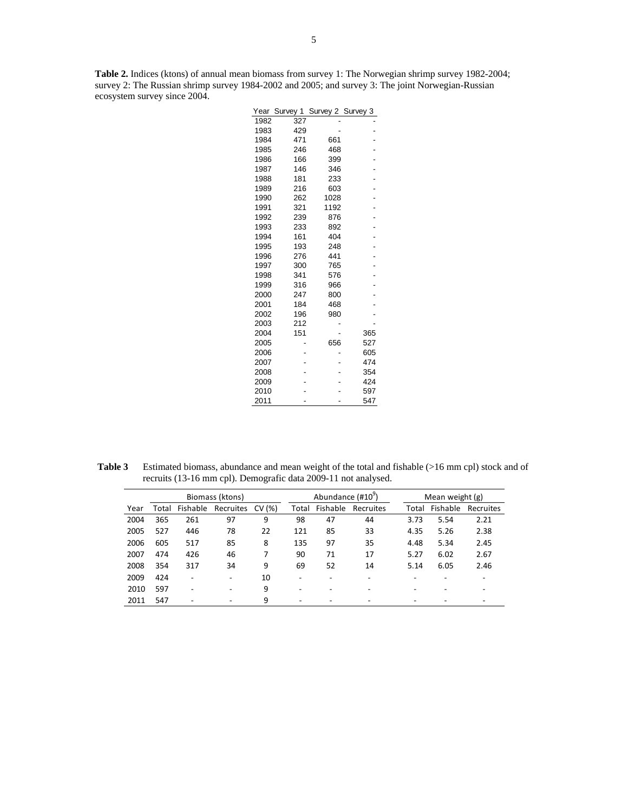**Table 2.** Indices (ktons) of annual mean biomass from survey 1: The Norwegian shrimp survey 1982-2004; survey 2: The Russian shrimp survey 1984-2002 and 2005; and survey 3: The joint Norwegian-Russian ecosystem survey since 2004.

| 1982<br>327<br>1983<br>429<br>471<br>1984<br>661<br>1985<br>468<br>246<br>1986<br>166<br>399<br>1987<br>146<br>346<br>1988<br>181<br>233<br>1989<br>216<br>603<br>1028<br>1990<br>262<br>1192<br>1991<br>321<br>1992<br>239<br>876<br>1993<br>233<br>892<br>1994<br>161<br>404<br>1995<br>193<br>248<br>441<br>1996<br>276<br>1997<br>300<br>765<br>1998<br>341<br>576<br>1999<br>316<br>966<br>2000<br>800<br>247<br>2001<br>184<br>468<br>2002<br>196<br>980<br>2003<br>212<br>2004<br>151<br>365<br>2005<br>656<br>527<br>2006<br>605<br>2007<br>474<br>2008<br>354<br>2009<br>424<br>2010<br>597<br>2011<br>547 | Year | Survey 1 | Survey 2 | Survey 3 |
|---------------------------------------------------------------------------------------------------------------------------------------------------------------------------------------------------------------------------------------------------------------------------------------------------------------------------------------------------------------------------------------------------------------------------------------------------------------------------------------------------------------------------------------------------------------------------------------------------------------------|------|----------|----------|----------|
|                                                                                                                                                                                                                                                                                                                                                                                                                                                                                                                                                                                                                     |      |          |          |          |
|                                                                                                                                                                                                                                                                                                                                                                                                                                                                                                                                                                                                                     |      |          |          |          |
|                                                                                                                                                                                                                                                                                                                                                                                                                                                                                                                                                                                                                     |      |          |          |          |
|                                                                                                                                                                                                                                                                                                                                                                                                                                                                                                                                                                                                                     |      |          |          |          |
|                                                                                                                                                                                                                                                                                                                                                                                                                                                                                                                                                                                                                     |      |          |          |          |
|                                                                                                                                                                                                                                                                                                                                                                                                                                                                                                                                                                                                                     |      |          |          |          |
|                                                                                                                                                                                                                                                                                                                                                                                                                                                                                                                                                                                                                     |      |          |          |          |
|                                                                                                                                                                                                                                                                                                                                                                                                                                                                                                                                                                                                                     |      |          |          |          |
|                                                                                                                                                                                                                                                                                                                                                                                                                                                                                                                                                                                                                     |      |          |          |          |
|                                                                                                                                                                                                                                                                                                                                                                                                                                                                                                                                                                                                                     |      |          |          |          |
|                                                                                                                                                                                                                                                                                                                                                                                                                                                                                                                                                                                                                     |      |          |          |          |
|                                                                                                                                                                                                                                                                                                                                                                                                                                                                                                                                                                                                                     |      |          |          |          |
|                                                                                                                                                                                                                                                                                                                                                                                                                                                                                                                                                                                                                     |      |          |          |          |
|                                                                                                                                                                                                                                                                                                                                                                                                                                                                                                                                                                                                                     |      |          |          |          |
|                                                                                                                                                                                                                                                                                                                                                                                                                                                                                                                                                                                                                     |      |          |          |          |
|                                                                                                                                                                                                                                                                                                                                                                                                                                                                                                                                                                                                                     |      |          |          |          |
|                                                                                                                                                                                                                                                                                                                                                                                                                                                                                                                                                                                                                     |      |          |          |          |
|                                                                                                                                                                                                                                                                                                                                                                                                                                                                                                                                                                                                                     |      |          |          |          |
|                                                                                                                                                                                                                                                                                                                                                                                                                                                                                                                                                                                                                     |      |          |          |          |
|                                                                                                                                                                                                                                                                                                                                                                                                                                                                                                                                                                                                                     |      |          |          |          |
|                                                                                                                                                                                                                                                                                                                                                                                                                                                                                                                                                                                                                     |      |          |          |          |
|                                                                                                                                                                                                                                                                                                                                                                                                                                                                                                                                                                                                                     |      |          |          |          |
|                                                                                                                                                                                                                                                                                                                                                                                                                                                                                                                                                                                                                     |      |          |          |          |
|                                                                                                                                                                                                                                                                                                                                                                                                                                                                                                                                                                                                                     |      |          |          |          |
|                                                                                                                                                                                                                                                                                                                                                                                                                                                                                                                                                                                                                     |      |          |          |          |
|                                                                                                                                                                                                                                                                                                                                                                                                                                                                                                                                                                                                                     |      |          |          |          |
|                                                                                                                                                                                                                                                                                                                                                                                                                                                                                                                                                                                                                     |      |          |          |          |
|                                                                                                                                                                                                                                                                                                                                                                                                                                                                                                                                                                                                                     |      |          |          |          |
|                                                                                                                                                                                                                                                                                                                                                                                                                                                                                                                                                                                                                     |      |          |          |          |
|                                                                                                                                                                                                                                                                                                                                                                                                                                                                                                                                                                                                                     |      |          |          |          |

**Table 3** Estimated biomass, abundance and mean weight of the total and fishable (>16 mm cpl) stock and of recruits (13-16 mm cpl). Demografic data 2009-11 not analysed.

|      |       |          | Biomass (ktons)  |    |       | Abundance (#10 <sup>9</sup> ) |           | Mean weight $(g)$ |          |           |  |  |
|------|-------|----------|------------------|----|-------|-------------------------------|-----------|-------------------|----------|-----------|--|--|
| Year | Total | Fishable | Recruites CV (%) |    | Total | Fishable                      | Recruites | Total             | Fishable | Recruites |  |  |
| 2004 | 365   | 261      | 97               | 9  | 98    | 47                            | 44        | 3.73              | 5.54     | 2.21      |  |  |
| 2005 | 527   | 446      | 78               | 22 | 121   | 85                            | 33        | 4.35              | 5.26     | 2.38      |  |  |
| 2006 | 605   | 517      | 85               | 8  | 135   | 97                            | 35        | 4.48              | 5.34     | 2.45      |  |  |
| 2007 | 474   | 426      | 46               | 7  | 90    | 71                            | 17        | 5.27              | 6.02     | 2.67      |  |  |
| 2008 | 354   | 317      | 34               | 9  | 69    | 52                            | 14        | 5.14              | 6.05     | 2.46      |  |  |
| 2009 | 424   | ۰        | ۰                | 10 | ۰     | $\overline{\phantom{a}}$      |           |                   |          |           |  |  |
| 2010 | 597   | ۰        |                  | 9  | ۰     | ۰                             |           |                   |          |           |  |  |
| 2011 | 547   |          |                  | 9  |       |                               |           |                   |          |           |  |  |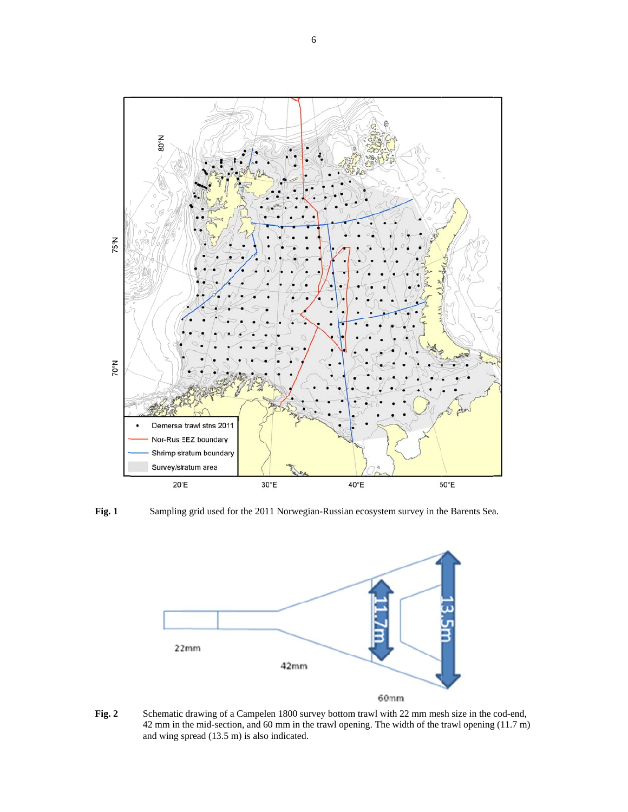

**Fig. 1** 

Sampling grid used for the 2011 Norwegian-Russian ecosystem survey in the Barents Sea.



**Fig. 2** Schematic drawing of a Campelen 1800 survey bottom trawl with 22 mm mesh size in the cod-end, 42 mm in the mid-section, and 60 mm in the trawl opening. The width of the trawl opening (11.7 m) and wing spread (13.5 m) is also indicated.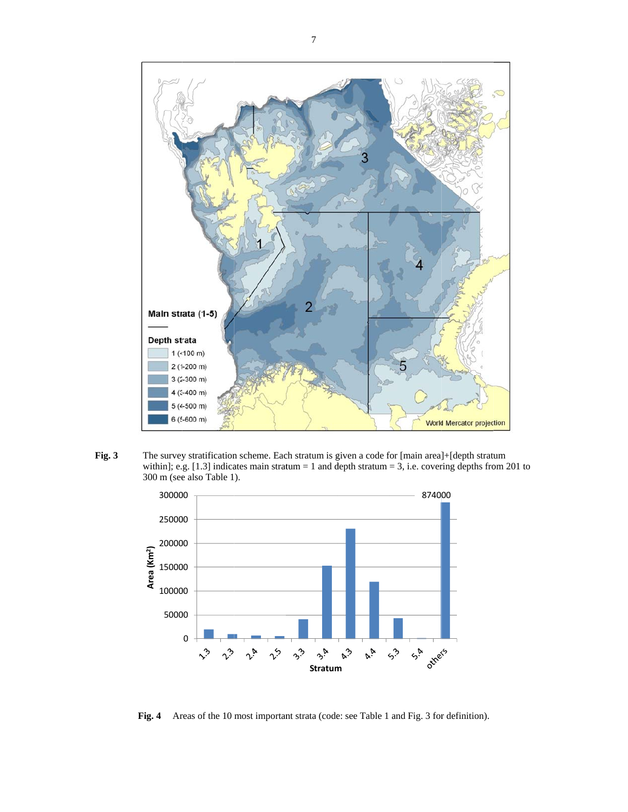

Fig. 3 The survey stratification scheme. Each stratum is given a code for [main area]+[depth stratum within]; e.g. [1.3] indicates main stratum = 1 and depth stratum = 3, i.e. covering depths from 201 to 300 m (see also Table 1).



Fig. 4 Areas of the 10 most important strata (code: see Table 1 and Fig. 3 for definition).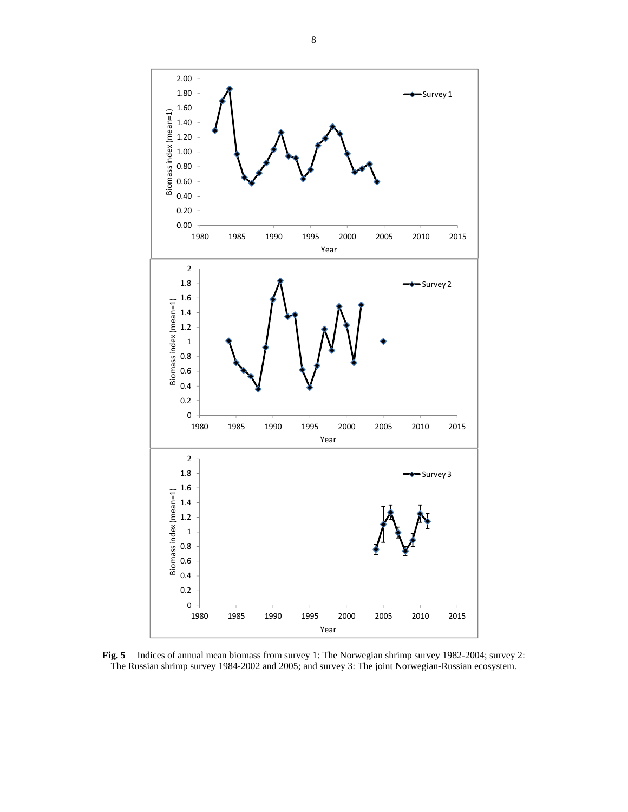

**Fig. 5** Indices of annual mean biomass from survey 1: The Norwegian shrimp survey 1982-2004; survey 2: The Russian shrimp survey 1984-2002 and 2005; and survey 3: The joint Norwegian-Russian ecosystem.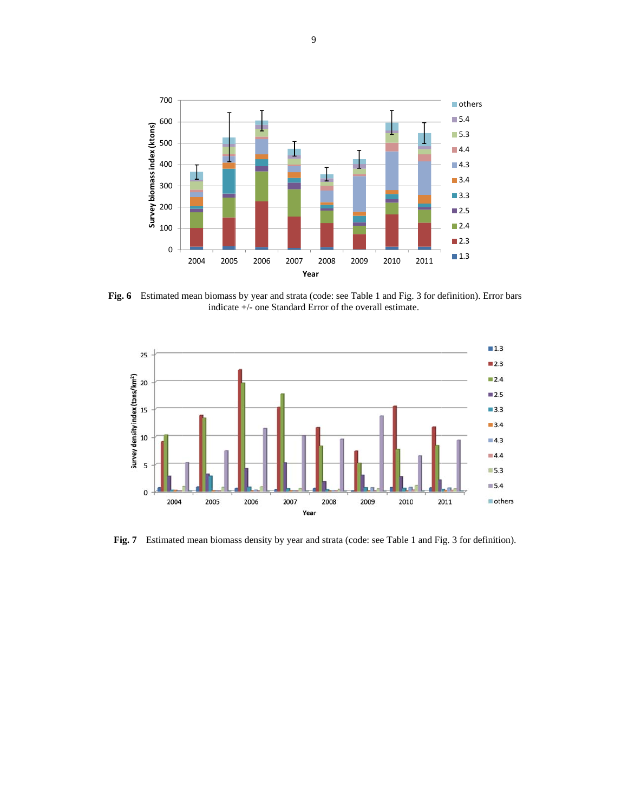

Fig. 6 Estimated mean biomass by year and strata (code: see Table 1 and Fig. 3 for definition). Error bars indicate +/- one Standard Error of the overall estimate.



Fig. 7 Estimated mean biomass density by year and strata (code: see Table 1 and Fig. 3 for definition).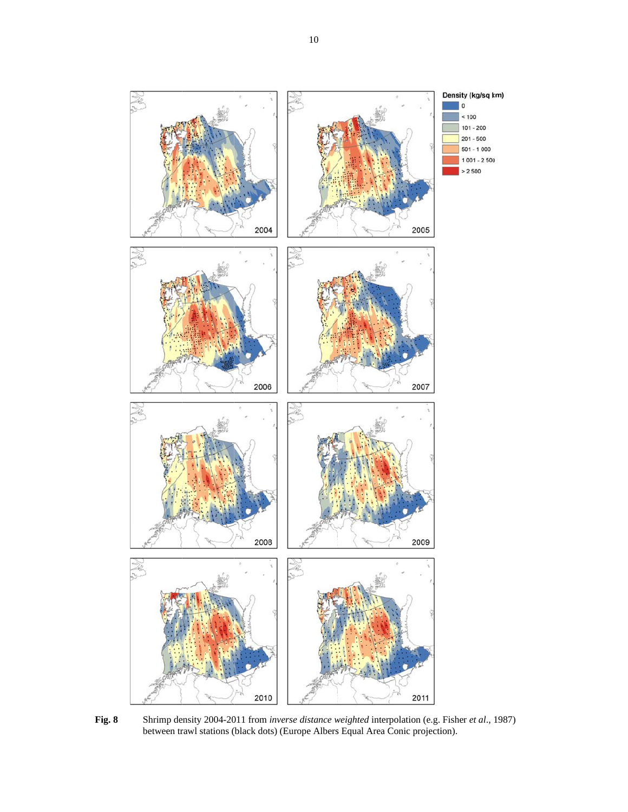

Shrimp density 2004-2011 from *inverse distance weighted* interpolation (e.g. Fisher et al., 1987) between trawl stations (black dots) (Europe Albers Equal Area Conic projection). Fig. 8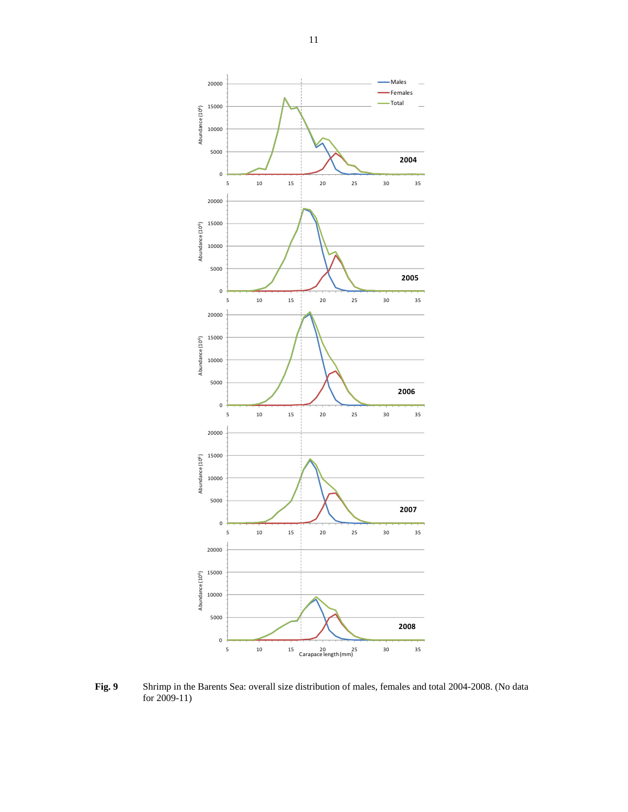

**Fig. 9** Shrimp in the Barents Sea: overall size distribution of males, females and total 2004-2008. (No data for 2009-11)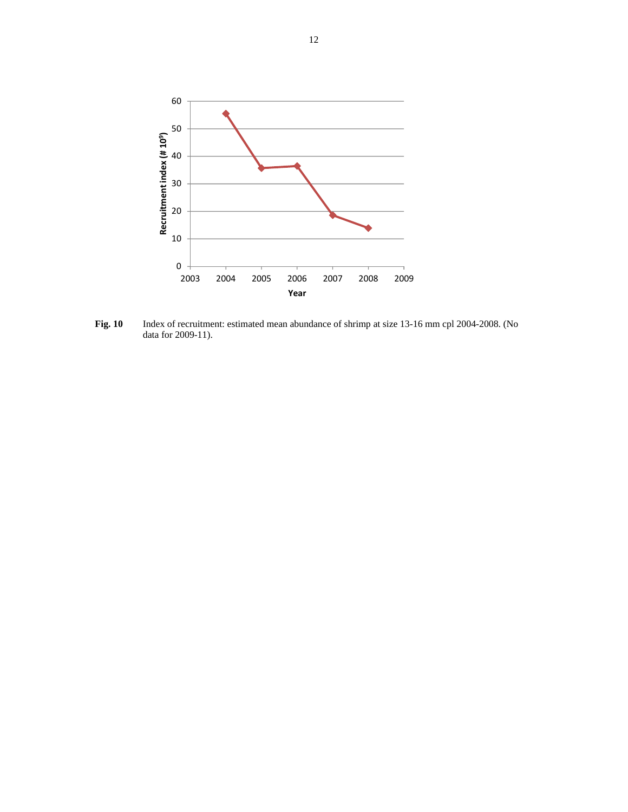

**Fig. 10** Index of recruitment: estimated mean abundance of shrimp at size 13-16 mm cpl 2004-2008. (No data for 2009-11).